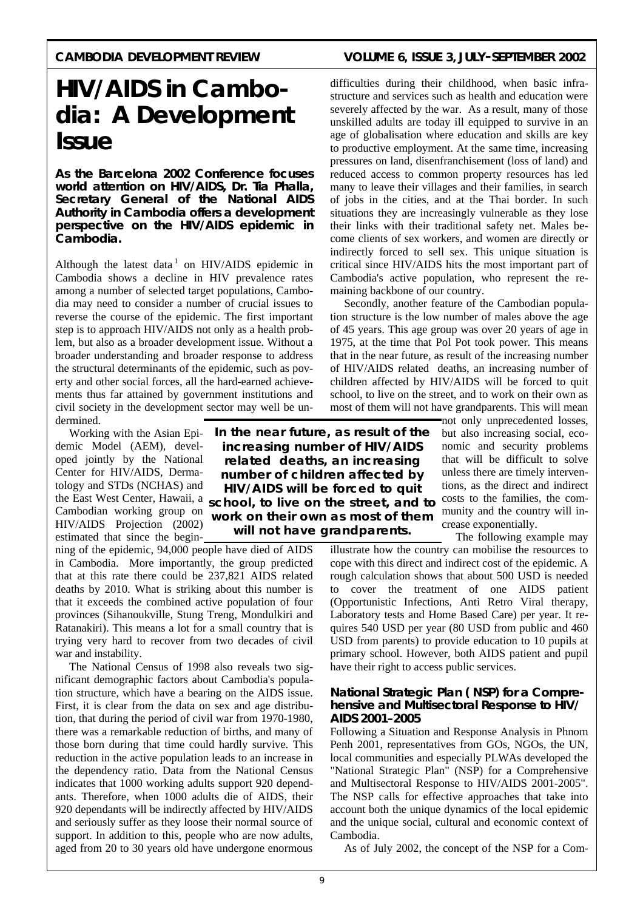# CAMBODIA DEVELOPMENT REVIEW VOLUME 6, ISSUE 3, JULY-SEPTEMBER 2002

# **HIV/AIDS in Cambodia: A Development Issue**

**As the Barcelona 2002 Conference focuses world attention on HIV/AIDS, Dr. Tia Phalla, Secretary General of the National AIDS Authority in Cambodia offers a development perspective on the HIV/AIDS epidemic in Cambodia.**

Although the latest data<sup>1</sup> on HIV/AIDS epidemic in Cambodia shows a decline in HIV prevalence rates among a number of selected target populations, Cambodia may need to consider a number of crucial issues to reverse the course of the epidemic. The first important step is to approach HIV/AIDS not only as a health problem, but also as a broader development issue. Without a broader understanding and broader response to address the structural determinants of the epidemic, such as poverty and other social forces, all the hard-earned achievements thus far attained by government institutions and civil society in the development sector may well be undermined.

 Working with the Asian Epidemic Model (AEM), developed jointly by the National Center for HIV/AIDS, Dermatology and STDs (NCHAS) and Cambodian working group on HIV/AIDS Projection (2002) estimated that since the begin-

ning of the epidemic, 94,000 people have died of AIDS in Cambodia. More importantly, the group predicted that at this rate there could be 237,821 AIDS related deaths by 2010. What is striking about this number is that it exceeds the combined active population of four provinces (Sihanoukville, Stung Treng, Mondulkiri and Ratanakiri). This means a lot for a small country that is trying very hard to recover from two decades of civil war and instability.

 The National Census of 1998 also reveals two significant demographic factors about Cambodia's population structure, which have a bearing on the AIDS issue. First, it is clear from the data on sex and age distribution, that during the period of civil war from 1970-1980, there was a remarkable reduction of births, and many of those born during that time could hardly survive. This reduction in the active population leads to an increase in the dependency ratio. Data from the National Census indicates that 1000 working adults support 920 dependants. Therefore, when 1000 adults die of AIDS, their 920 dependants will be indirectly affected by HIV/AIDS and seriously suffer as they loose their normal source of support. In addition to this, people who are now adults, aged from 20 to 30 years old have undergone enormous

difficulties during their childhood, when basic infrastructure and services such as health and education were severely affected by the war. As a result, many of those unskilled adults are today ill equipped to survive in an age of globalisation where education and skills are key to productive employment. At the same time, increasing pressures on land, disenfranchisement (loss of land) and reduced access to common property resources has led many to leave their villages and their families, in search of jobs in the cities, and at the Thai border. In such situations they are increasingly vulnerable as they lose their links with their traditional safety net. Males become clients of sex workers, and women are directly or indirectly forced to sell sex. This unique situation is critical since HIV/AIDS hits the most important part of Cambodia's active population, who represent the remaining backbone of our country.

 Secondly, another feature of the Cambodian population structure is the low number of males above the age of 45 years. This age group was over 20 years of age in 1975, at the time that Pol Pot took power. This means that in the near future, as result of the increasing number of HIV/AIDS related deaths, an increasing number of children affected by HIV/AIDS will be forced to quit school, to live on the street, and to work on their own as most of them will not have grandparents. This will mean

not only unprecedented losses, but also increasing social, economic and security problems that will be difficult to solve unless there are timely interventions, as the direct and indirect costs to the families, the community and the country will increase exponentially.

The following example may

illustrate how the country can mobilise the resources to cope with this direct and indirect cost of the epidemic. A rough calculation shows that about 500 USD is needed to cover the treatment of one AIDS patient (Opportunistic Infections, Anti Retro Viral therapy, Laboratory tests and Home Based Care) per year. It requires 540 USD per year (80 USD from public and 460 USD from parents) to provide education to 10 pupils at primary school. However, both AIDS patient and pupil have their right to access public services.

# **National Strategic Plan ( NSP) for a Comprehensive and Multisectoral Response to HIV/ AIDS 2001–2005**

Following a Situation and Response Analysis in Phnom Penh 2001, representatives from GOs, NGOs, the UN, local communities and especially PLWAs developed the "National Strategic Plan" (NSP) for a Comprehensive and Multisectoral Response to HIV/AIDS 2001-2005". The NSP calls for effective approaches that take into account both the unique dynamics of the local epidemic and the unique social, cultural and economic context of Cambodia.

As of July 2002, the concept of the NSP for a Com-

the East West Center, Hawaii, a *school, to live on the street, and to In the near future, as result of the increasing number of HIV/AIDS related deaths, an increasing number of children affected by HIV/AIDS will be forced to quit work on their own as most of them will not have grandparents.*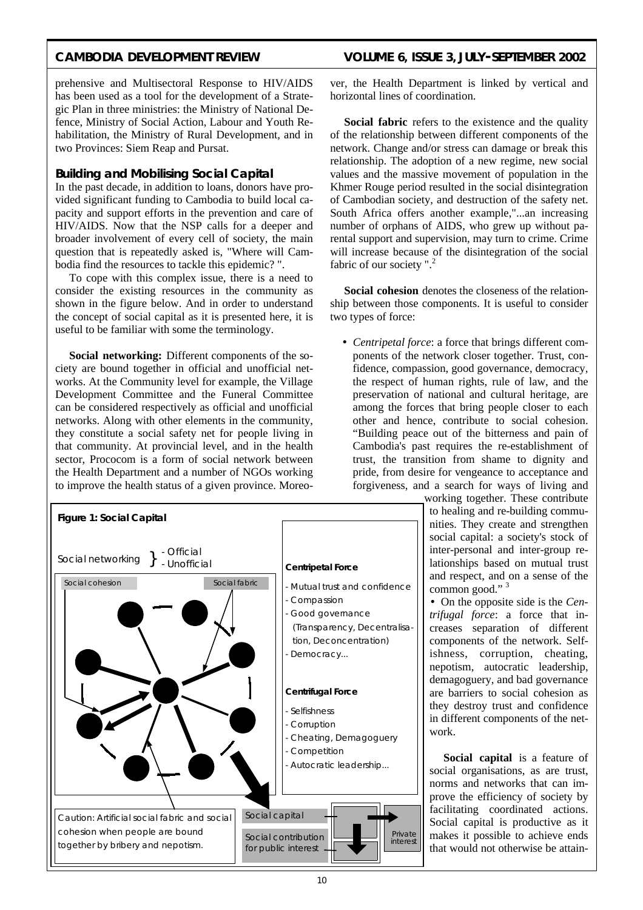# CAMBODIA DEVELOPMENT REVIEW VOLUME 6, ISSUE 3, JULY-SEPTEMBER 2002

prehensive and Multisectoral Response to HIV/AIDS has been used as a tool for the development of a Strategic Plan in three ministries: the Ministry of National Defence, Ministry of Social Action, Labour and Youth Rehabilitation, the Ministry of Rural Development, and in two Provinces: Siem Reap and Pursat.

## **Building and Mobilising Social Capital**

In the past decade, in addition to loans, donors have provided significant funding to Cambodia to build local capacity and support efforts in the prevention and care of HIV/AIDS. Now that the NSP calls for a deeper and broader involvement of every cell of society, the main question that is repeatedly asked is, "Where will Cambodia find the resources to tackle this epidemic? ".

 To cope with this complex issue, there is a need to consider the existing resources in the community as shown in the figure below. And in order to understand the concept of social capital as it is presented here, it is useful to be familiar with some the terminology.

 **Social networking:** Different components of the society are bound together in official and unofficial networks. At the Community level for example, the Village Development Committee and the Funeral Committee can be considered respectively as official and unofficial networks. Along with other elements in the community, they constitute a social safety net for people living in that community. At provincial level, and in the health sector, Prococom is a form of social network between the Health Department and a number of NGOs working to improve the health status of a given province. Moreover, the Health Department is linked by vertical and horizontal lines of coordination.

**Social fabric** refers to the existence and the quality of the relationship between different components of the network. Change and/or stress can damage or break this relationship. The adoption of a new regime, new social values and the massive movement of population in the Khmer Rouge period resulted in the social disintegration of Cambodian society, and destruction of the safety net. South Africa offers another example,"...an increasing number of orphans of AIDS, who grew up without parental support and supervision, may turn to crime. Crime will increase because of the disintegration of the social fabric of our society ".<sup>2</sup>

 **Social cohesion** denotes the closeness of the relationship between those components. It is useful to consider two types of force:

• *Centripetal force*: a force that brings different components of the network closer together. Trust, confidence, compassion, good governance, democracy, the respect of human rights, rule of law, and the preservation of national and cultural heritage, are among the forces that bring people closer to each other and hence, contribute to social cohesion. "Building peace out of the bitterness and pain of Cambodia's past requires the re-establishment of trust, the transition from shame to dignity and pride, from desire for vengeance to acceptance and forgiveness, and a search for ways of living and

> working together. These contribute to healing and re-building communities. They create and strengthen social capital: a society's stock of inter-personal and inter-group relationships based on mutual trust and respect, and on a sense of the common good."<sup>3</sup>

• On the opposite side is the *Centrifugal force*: a force that increases separation of different components of the network. Selfishness, corruption, cheating, nepotism, autocratic leadership, demagoguery, and bad governance are barriers to social cohesion as they destroy trust and confidence in different components of the network.

**Social capital** is a feature of social organisations, as are trust, norms and networks that can improve the efficiency of society by facilitating coordinated actions. Social capital is productive as it makes it possible to achieve ends that would not otherwise be attain-



10